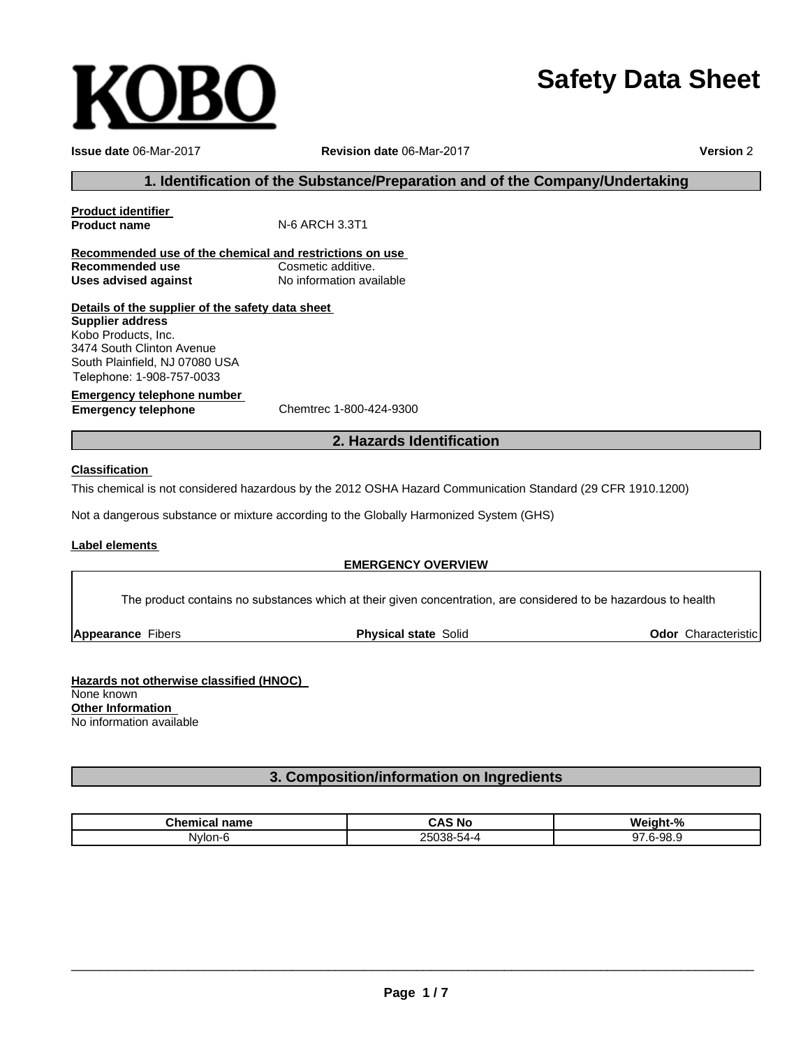# **Safety Data Sheet**

**Issue date** 06-Mar-2017 **Revision date** 06Mar2017 **Version** 2

## **1. Identification of the Substance/Preparation and of the Company/Undertaking**

**Product identifier**

**N-6 ARCH 3.3T1** 

**Recommended use of the chemical and restrictions on use Recommended use** Cosmetic additive. **Uses advised against** No information available

#### **Details of the supplier of the safety data sheet**

Telephone: 1-908-757-0033 **Supplier address** Kobo Products, Inc. 3474 South Clinton Avenue South Plainfield, NJ 07080 USA

**Emergency telephone number Emergency telephone** Chemtrec 1-800-424-9300

## **2. Hazards Identification**

#### **Classification**

This chemical is not considered hazardous by the 2012 OSHA Hazard Communication Standard (29 CFR 1910.1200)

Not a dangerous substance or mixture according to the Globally Harmonized System (GHS)

## **Label elements**

## **EMERGENCY OVERVIEW**

The product contains no substances which at their given concentration, are considered to be hazardous to health

**Appearance** Fibers

**Physical state** Solid **Odor** Characteristic

**Hazards not otherwise classified (HNOC)** None known **Other Information** No information available

## **3. Composition/information on Ingredients**

| $\mathbf{A}$<br>name<br>…ne∽<br>nı | $\Lambda$ 2A:<br>N0     | Weight-%      |
|------------------------------------|-------------------------|---------------|
| Nylon-6                            | 25038-5<br>54571<br>. . | $n-98$<br>ov. |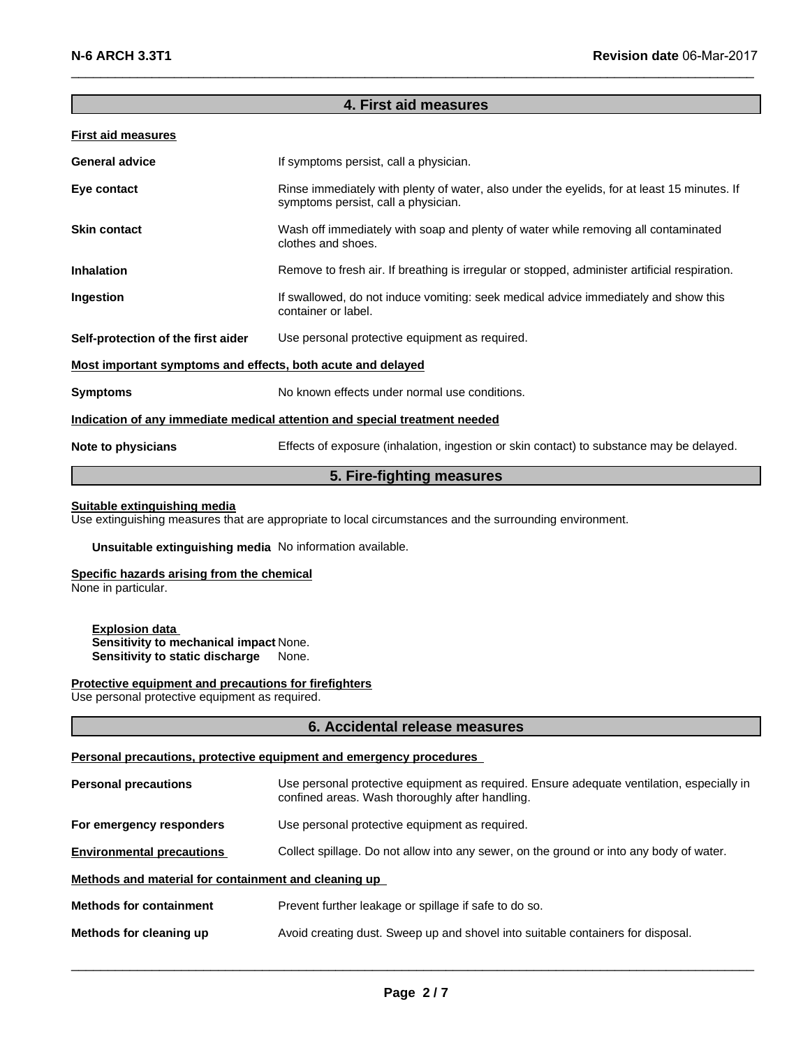## **4. First aid measures**

 $\_$  , and the set of the set of the set of the set of the set of the set of the set of the set of the set of the set of the set of the set of the set of the set of the set of the set of the set of the set of the set of th

## **First aid measures**

| <b>General advice</b>                                                      | If symptoms persist, call a physician.                                                                                             |  |
|----------------------------------------------------------------------------|------------------------------------------------------------------------------------------------------------------------------------|--|
| Eye contact                                                                | Rinse immediately with plenty of water, also under the eyelids, for at least 15 minutes. If<br>symptoms persist, call a physician. |  |
| <b>Skin contact</b>                                                        | Wash off immediately with soap and plenty of water while removing all contaminated<br>clothes and shoes.                           |  |
| <b>Inhalation</b>                                                          | Remove to fresh air. If breathing is irregular or stopped, administer artificial respiration.                                      |  |
| Ingestion                                                                  | If swallowed, do not induce vomiting: seek medical advice immediately and show this<br>container or label.                         |  |
| Self-protection of the first aider                                         | Use personal protective equipment as required.                                                                                     |  |
| Most important symptoms and effects, both acute and delayed                |                                                                                                                                    |  |
| <b>Symptoms</b>                                                            | No known effects under normal use conditions.                                                                                      |  |
| Indication of any immediate medical attention and special treatment needed |                                                                                                                                    |  |
| Note to physicians                                                         | Effects of exposure (inhalation, ingestion or skin contact) to substance may be delayed.                                           |  |

## **5. Fire-fighting measures**

#### **Suitable extinguishing media**

Use extinguishing measures that are appropriate to local circumstances and the surrounding environment.

## **Unsuitable extinguishing media** No information available.

## **Specific hazards arising from the chemical**

None in particular.

**Explosion data Sensitivity to mechanical impact** None. **Sensitivity to static discharge** 

## **Protective equipment and precautions for firefighters**

Use personal protective equipment as required.

## **6. Accidental release measures**

## **Personal precautions, protective equipment and emergency procedures**

| <b>Personal precautions</b>                          | Use personal protective equipment as required. Ensure adequate ventilation, especially in<br>confined areas. Wash thoroughly after handling. |  |
|------------------------------------------------------|----------------------------------------------------------------------------------------------------------------------------------------------|--|
| For emergency responders                             | Use personal protective equipment as required.                                                                                               |  |
| <b>Environmental precautions</b>                     | Collect spillage. Do not allow into any sewer, on the ground or into any body of water.                                                      |  |
| Methods and material for containment and cleaning up |                                                                                                                                              |  |
| <b>Methods for containment</b>                       | Prevent further leakage or spillage if safe to do so.                                                                                        |  |
| Methods for cleaning up                              | Avoid creating dust. Sweep up and shovel into suitable containers for disposal.                                                              |  |

 $\_$  ,  $\_$  ,  $\_$  ,  $\_$  ,  $\_$  ,  $\_$  ,  $\_$  ,  $\_$  ,  $\_$  ,  $\_$  ,  $\_$  ,  $\_$  ,  $\_$  ,  $\_$  ,  $\_$  ,  $\_$  ,  $\_$  ,  $\_$  ,  $\_$  ,  $\_$  ,  $\_$  ,  $\_$  ,  $\_$  ,  $\_$  ,  $\_$  ,  $\_$  ,  $\_$  ,  $\_$  ,  $\_$  ,  $\_$  ,  $\_$  ,  $\_$  ,  $\_$  ,  $\_$  ,  $\_$  ,  $\_$  ,  $\_$  ,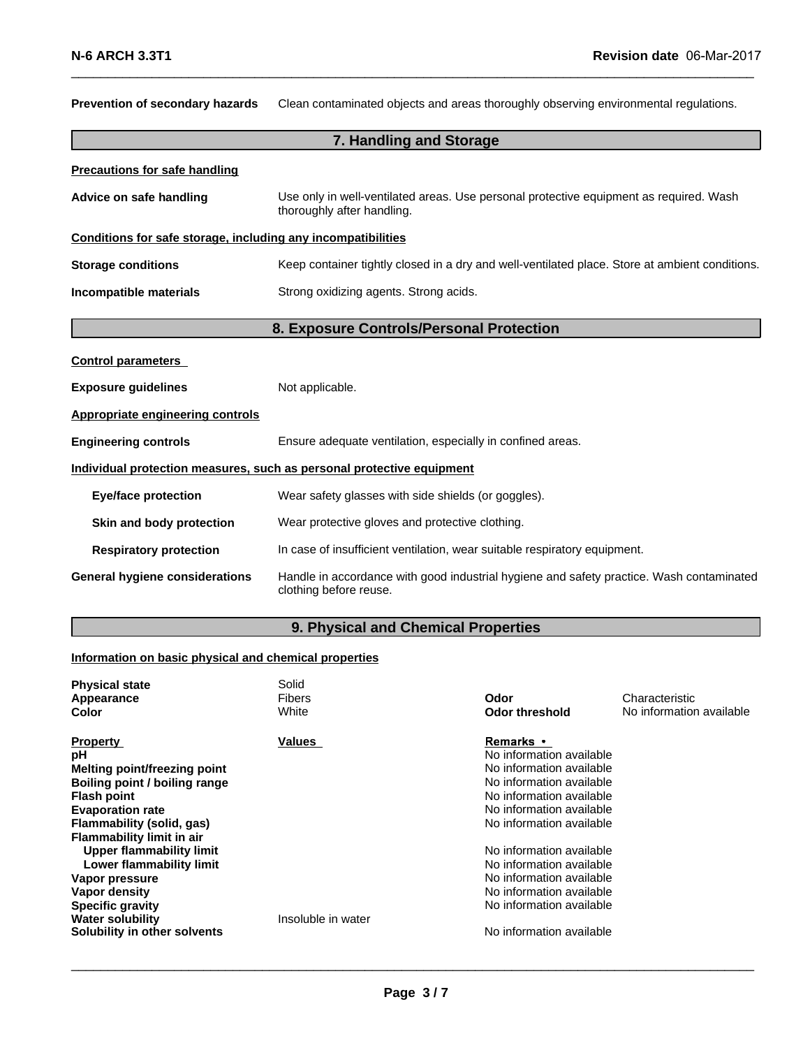| Prevention of secondary hazards                              | Clean contaminated objects and areas thoroughly observing environmental regulations.                                 |  |
|--------------------------------------------------------------|----------------------------------------------------------------------------------------------------------------------|--|
|                                                              | 7. Handling and Storage                                                                                              |  |
| <b>Precautions for safe handling</b>                         |                                                                                                                      |  |
| Advice on safe handling                                      | Use only in well-ventilated areas. Use personal protective equipment as required. Wash<br>thoroughly after handling. |  |
| Conditions for safe storage, including any incompatibilities |                                                                                                                      |  |
| <b>Storage conditions</b>                                    | Keep container tightly closed in a dry and well-ventilated place. Store at ambient conditions.                       |  |
| Incompatible materials                                       | Strong oxidizing agents. Strong acids.                                                                               |  |
| 8. Exposure Controls/Personal Protection                     |                                                                                                                      |  |
| <b>Control parameters</b>                                    |                                                                                                                      |  |
| <b>Exposure guidelines</b>                                   | Not applicable.                                                                                                      |  |
| <b>Appropriate engineering controls</b>                      |                                                                                                                      |  |
| <b>Engineering controls</b>                                  | Ensure adequate ventilation, especially in confined areas.                                                           |  |
|                                                              | Individual protection measures, such as personal protective equipment                                                |  |
| <b>Eye/face protection</b>                                   | Wear safety glasses with side shields (or goggles).                                                                  |  |
| Skin and body protection                                     | Wear protective gloves and protective clothing.                                                                      |  |
| <b>Respiratory protection</b>                                | In case of insufficient ventilation, wear suitable respiratory equipment.                                            |  |
| <b>General hygiene considerations</b>                        | Handle in accordance with good industrial hygiene and safety practice. Wash contaminated<br>clothing before reuse.   |  |

 $\_$  , and the set of the set of the set of the set of the set of the set of the set of the set of the set of the set of the set of the set of the set of the set of the set of the set of the set of the set of the set of th

# **9. Physical and Chemical Properties**

## **Information on basic physical and chemical properties**

| <b>Physical state</b><br>Appearance<br><b>Color</b> | Solid<br><b>Fibers</b><br>White | Odor<br>Odor threshold   | Characteristic<br>No information available |
|-----------------------------------------------------|---------------------------------|--------------------------|--------------------------------------------|
| <b>Property</b>                                     | Values                          | <b>Remarks</b> •         |                                            |
| рH                                                  |                                 | No information available |                                            |
| <b>Melting point/freezing point</b>                 |                                 | No information available |                                            |
| Boiling point / boiling range                       |                                 | No information available |                                            |
| <b>Flash point</b>                                  |                                 | No information available |                                            |
| <b>Evaporation rate</b>                             |                                 | No information available |                                            |
| Flammability (solid, gas)                           |                                 | No information available |                                            |
| <b>Flammability limit in air</b>                    |                                 |                          |                                            |
| Upper flammability limit                            |                                 | No information available |                                            |
| Lower flammability limit                            |                                 | No information available |                                            |
| Vapor pressure                                      |                                 | No information available |                                            |
| Vapor density                                       |                                 | No information available |                                            |
| <b>Specific gravity</b>                             |                                 | No information available |                                            |
| <b>Water solubility</b>                             | Insoluble in water              |                          |                                            |
| Solubility in other solvents                        |                                 | No information available |                                            |

 $\_$  ,  $\_$  ,  $\_$  ,  $\_$  ,  $\_$  ,  $\_$  ,  $\_$  ,  $\_$  ,  $\_$  ,  $\_$  ,  $\_$  ,  $\_$  ,  $\_$  ,  $\_$  ,  $\_$  ,  $\_$  ,  $\_$  ,  $\_$  ,  $\_$  ,  $\_$  ,  $\_$  ,  $\_$  ,  $\_$  ,  $\_$  ,  $\_$  ,  $\_$  ,  $\_$  ,  $\_$  ,  $\_$  ,  $\_$  ,  $\_$  ,  $\_$  ,  $\_$  ,  $\_$  ,  $\_$  ,  $\_$  ,  $\_$  ,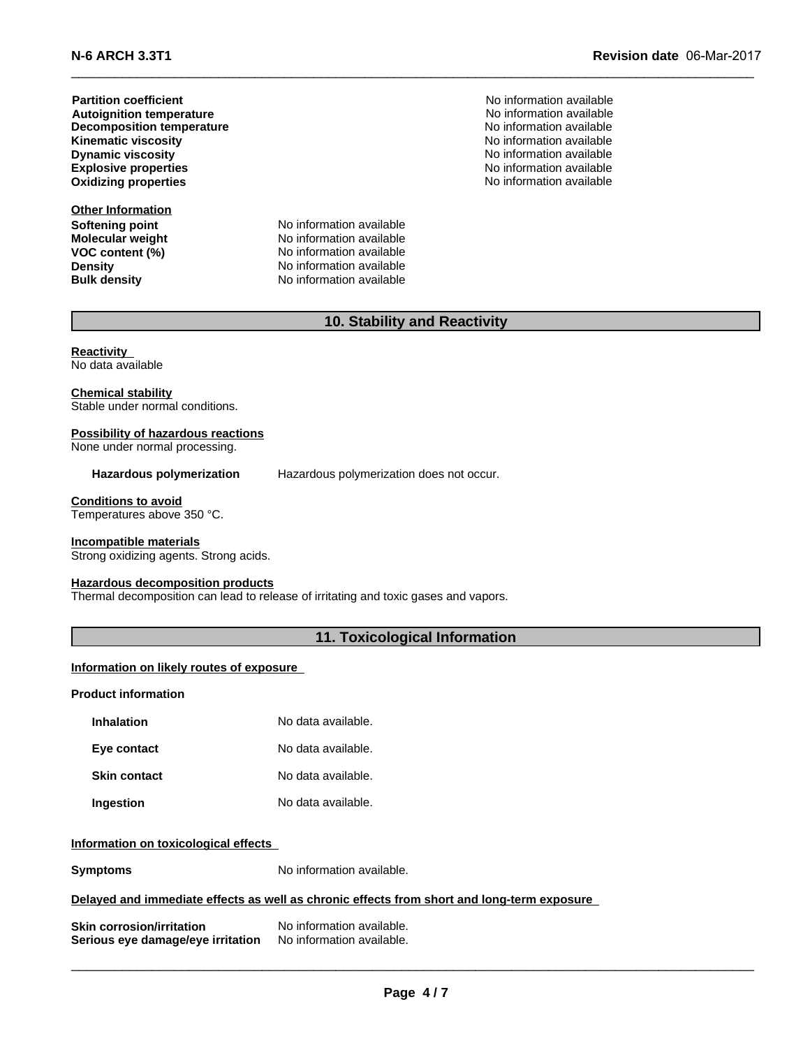**Decomposition temperature** and the settlement of the settlement of the No information available<br> **Kinematic viscosity** and the settlement of the North Community of the North Community of the North Community of **Kinematic viscosity**<br>Dynamic viscosity **Explosive properties Oxidizing properties Districts Districts No information available Partition coefficient**<br> **Autoignition temperature**<br> **Autoignition temperature**<br> **Autoignition available Autoignition temperature** 

**Other Information Softening point**<br> **Molecular weight**<br> **Molecular weight**<br> **Molecular weight**<br> **Molecular weight Molecular weight**<br>VOC content (%)

**VOC content (%)** No information available **Density** No information available **Bulk density** No information available

**Dynamic viscosity** No information available No information available

## **10. Stability and Reactivity**

 $\_$  , and the set of the set of the set of the set of the set of the set of the set of the set of the set of the set of the set of the set of the set of the set of the set of the set of the set of the set of the set of th

**Reactivity**

No data available

# **Chemical stability**

Stable under normal conditions.

## **Possibility of hazardous reactions**

None under normal processing.

**Hazardous polymerization** Hazardous polymerization does not occur.

**Conditions to avoid** Temperatures above 350 °C.

## **Incompatible materials**

Strong oxidizing agents. Strong acids.

#### **Hazardous decomposition products**

Thermal decomposition can lead to release of irritating and toxic gases and vapors.

## **11. Toxicological Information**

#### **Information on likely routes of exposure**

**Product information**

| <b>Inhalation</b>   | No data available. |
|---------------------|--------------------|
| Eye contact         | No data available. |
| <b>Skin contact</b> | No data available. |
| Ingestion           | No data available. |

## **Information on toxicological effects**

**Symptoms** No information available.

#### **Delayed and immediate effects as well as chronic effects from short and long-term exposure**

**Skin corrosion/irritation** No information available.<br>**Serious eve damage/eve irritation** No information available. **Serious eye damage/eye irritation**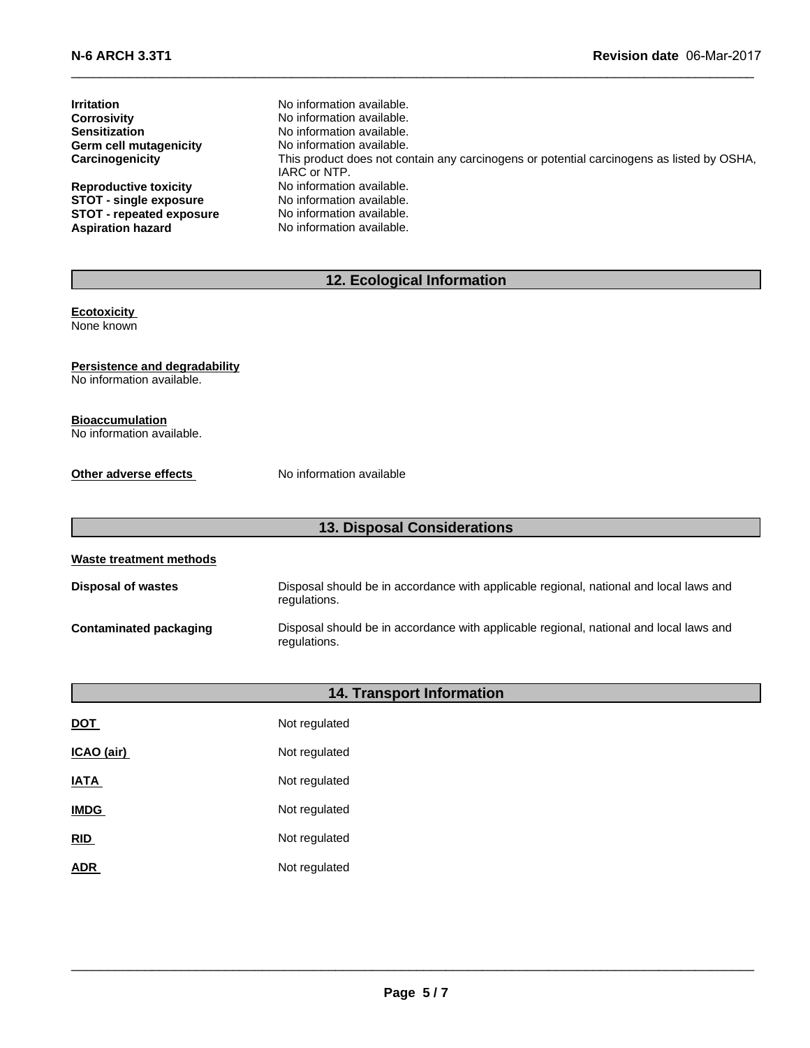| <b>Irritation</b>               | No information available.                                                                                 |
|---------------------------------|-----------------------------------------------------------------------------------------------------------|
| <b>Corrosivity</b>              | No information available.                                                                                 |
| <b>Sensitization</b>            | No information available.                                                                                 |
| Germ cell mutagenicity          | No information available.                                                                                 |
| Carcinogenicity                 | This product does not contain any carcinogens or potential carcinogens as listed by OSHA,<br>IARC or NTP. |
| <b>Reproductive toxicity</b>    | No information available.                                                                                 |
| <b>STOT - single exposure</b>   | No information available.                                                                                 |
| <b>STOT - repeated exposure</b> | No information available.                                                                                 |
| <b>Aspiration hazard</b>        | No information available.                                                                                 |

 $\_$  , and the set of the set of the set of the set of the set of the set of the set of the set of the set of the set of the set of the set of the set of the set of the set of the set of the set of the set of the set of th

# **12. Ecological Information**

|  |  | <b>Ecotoxicity</b>       |  |  |
|--|--|--------------------------|--|--|
|  |  | <b>Alexa - Lasterine</b> |  |  |

None known

## **Persistence and degradability**

No information available.

## **Bioaccumulation**

No information available.

**Other adverse effects** No information available

| <b>13. Disposal Considerations</b> |                                                                                                        |  |
|------------------------------------|--------------------------------------------------------------------------------------------------------|--|
| Waste treatment methods            |                                                                                                        |  |
| <b>Disposal of wastes</b>          | Disposal should be in accordance with applicable regional, national and local laws and<br>regulations. |  |
| Contaminated packaging             | Disposal should be in accordance with applicable regional, national and local laws and<br>regulations. |  |

| <b>14. Transport Information</b> |               |  |
|----------------------------------|---------------|--|
| <b>DOT</b>                       | Not regulated |  |
| ICAO (air)                       | Not regulated |  |
| <b>IATA</b>                      | Not regulated |  |
| <b>IMDG</b>                      | Not regulated |  |
| RID                              | Not regulated |  |
| <b>ADR</b>                       | Not regulated |  |

 $\_$  ,  $\_$  ,  $\_$  ,  $\_$  ,  $\_$  ,  $\_$  ,  $\_$  ,  $\_$  ,  $\_$  ,  $\_$  ,  $\_$  ,  $\_$  ,  $\_$  ,  $\_$  ,  $\_$  ,  $\_$  ,  $\_$  ,  $\_$  ,  $\_$  ,  $\_$  ,  $\_$  ,  $\_$  ,  $\_$  ,  $\_$  ,  $\_$  ,  $\_$  ,  $\_$  ,  $\_$  ,  $\_$  ,  $\_$  ,  $\_$  ,  $\_$  ,  $\_$  ,  $\_$  ,  $\_$  ,  $\_$  ,  $\_$  ,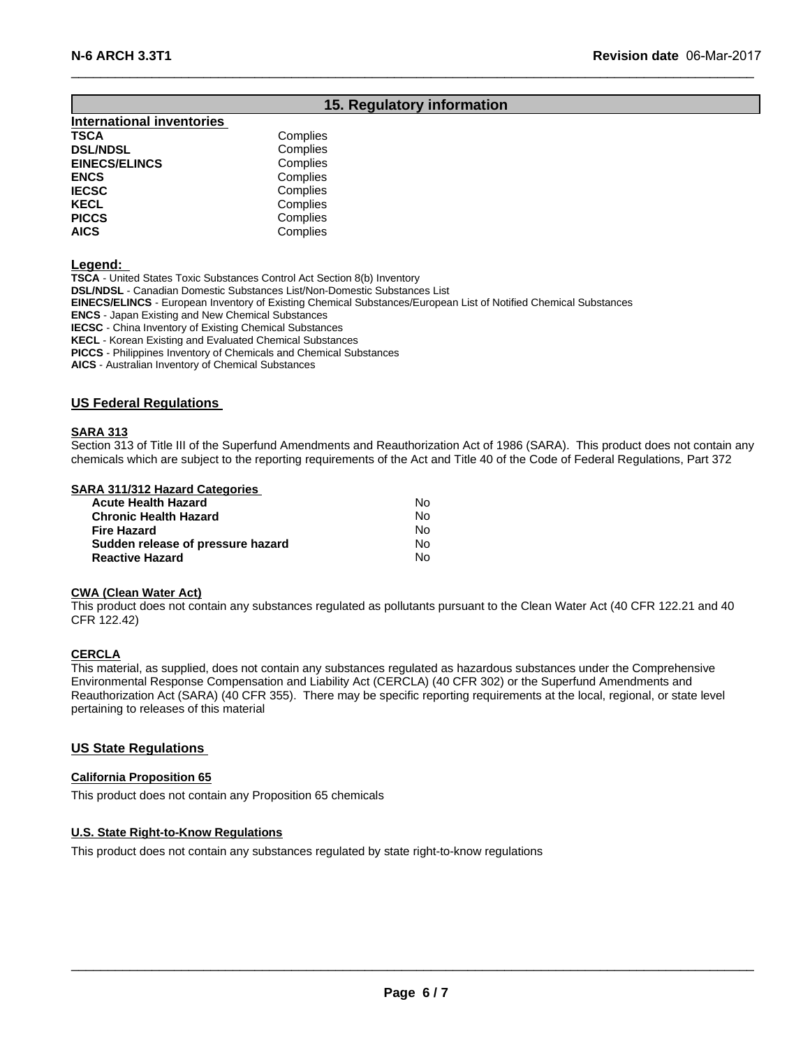## **15. Regulatory information**

 $\_$  , and the set of the set of the set of the set of the set of the set of the set of the set of the set of the set of the set of the set of the set of the set of the set of the set of the set of the set of the set of th

| <b>International inventories</b> |          |
|----------------------------------|----------|
| TSCA                             | Complies |
| <b>DSL/NDSL</b>                  | Complies |
| <b>EINECS/ELINCS</b>             | Complies |
| <b>ENCS</b>                      | Complies |
| <b>IECSC</b>                     | Complies |
| KECL                             | Complies |
| <b>PICCS</b>                     | Complies |
| AICS                             | Complies |
|                                  |          |

**Legend:**

**TSCA** - United States Toxic Substances Control Act Section 8(b) Inventory

**DSL/NDSL** - Canadian Domestic Substances List/Non-Domestic Substances List

**EINECS/ELINCS** - European Inventory of Existing Chemical Substances/European List of Notified Chemical Substances

**ENCS** - Japan Existing and New Chemical Substances

**IECSC** - China Inventory of Existing Chemical Substances

**KECL** - Korean Existing and Evaluated Chemical Substances

**PICCS** - Philippines Inventory of Chemicals and Chemical Substances

**AICS** - Australian Inventory of Chemical Substances

## **US Federal Regulations**

#### **SARA 313**

Section 313 of Title III of the Superfund Amendments and Reauthorization Act of 1986 (SARA). This product does not contain any chemicals which are subject to the reporting requirements of the Act and Title 40 of the Code of Federal Regulations, Part 372

## **SARA 311/312 Hazard Categories**

| Acute Health Hazard               | N٥ |
|-----------------------------------|----|
| Chronic Health Hazard             | N٥ |
| Fire Hazard                       | Nο |
| Sudden release of pressure hazard | N٥ |
| <b>Reactive Hazard</b>            | N٥ |

## **CWA (Clean Water Act)**

This product does not contain any substances regulated as pollutants pursuant to the Clean Water Act (40 CFR 122.21 and 40 CFR 122.42)

## **CERCLA**

This material, as supplied, does not contain any substances regulated as hazardous substances under the Comprehensive Environmental Response Compensation and Liability Act (CERCLA) (40 CFR 302) or the Superfund Amendments and Reauthorization Act (SARA) (40 CFR 355). There may be specific reporting requirements at the local, regional, or state level pertaining to releases of this material

## **US State Regulations**

## **California Proposition 65**

This product does not contain any Proposition 65 chemicals

## **U.S. State Right-to-Know Regulations**

This product does not contain any substances regulated by state right-to-know regulations